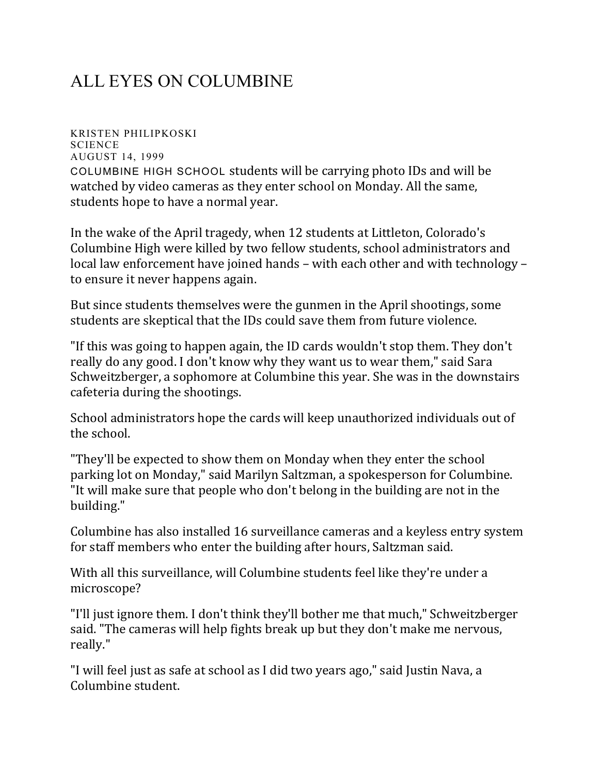## ALL EYES ON COLUMBINE

KRISTEN PHILIPKOSKI **SCIENCE** AUGUST 14, 1999 COLUMBINE HIGH SCHOOL students will be carrying photo IDs and will be watched by video cameras as they enter school on Monday. All the same, students hope to have a normal year.

In the wake of the April tragedy, when 12 students at Littleton, Colorado's Columbine High were killed by two fellow students, school administrators and local law enforcement have joined hands – with each other and with technology – to ensure it never happens again.

But since students themselves were the gunmen in the April shootings, some students are skeptical that the IDs could save them from future violence.

"If this was going to happen again, the ID cards wouldn't stop them. They don't really do any good. I don't know why they want us to wear them," said Sara Schweitzberger, a sophomore at Columbine this year. She was in the downstairs cafeteria during the shootings.

School administrators hope the cards will keep unauthorized individuals out of the school.

"They'll be expected to show them on Monday when they enter the school parking lot on Monday," said Marilyn Saltzman, a spokesperson for Columbine. "It will make sure that people who don't belong in the building are not in the building."

Columbine has also installed 16 surveillance cameras and a keyless entry system for staff members who enter the building after hours, Saltzman said.

With all this surveillance, will Columbine students feel like they're under a microscope?

"I'll just ignore them. I don't think they'll bother me that much," Schweitzberger said. "The cameras will help fights break up but they don't make me nervous, really."

"I will feel just as safe at school as I did two years ago," said Justin Nava, a Columbine student.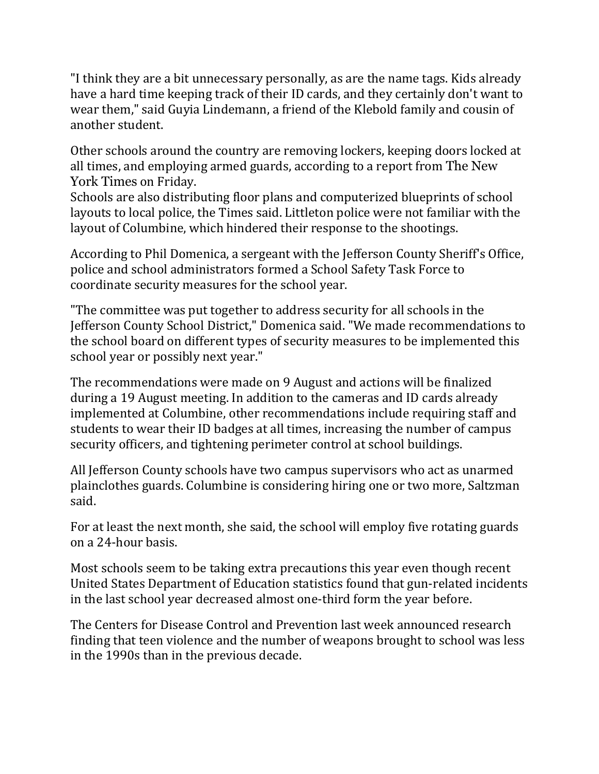"I think they are a bit unnecessary personally, as are the name tags. Kids already have a hard time keeping track of their ID cards, and they certainly don't want to wear them," said Guyia Lindemann, a friend of the Klebold family and cousin of another student.

Other schools around the country are removing lockers, keeping doors locked at all times, and employing armed guards, according to a report from The New York Times on Friday.

Schools are also distributing floor plans and computerized blueprints of school layouts to local police, the Times said. Littleton police were not familiar with the layout of Columbine, which hindered their response to the shootings.

According to Phil Domenica, a sergeant with the Jefferson County Sheriff's Office, police and school administrators formed a School Safety Task Force to coordinate security measures for the school year.

"The committee was put together to address security for all schools in the Jefferson County School District," Domenica said. "We made recommendations to the school board on different types of security measures to be implemented this school year or possibly next year."

The recommendations were made on 9 August and actions will be finalized during a 19 August meeting. In addition to the cameras and ID cards already implemented at Columbine, other recommendations include requiring staff and students to wear their ID badges at all times, increasing the number of campus security officers, and tightening perimeter control at school buildings.

All Jefferson County schools have two campus supervisors who act as unarmed plainclothes guards. Columbine is considering hiring one or two more, Saltzman said.

For at least the next month, she said, the school will employ five rotating guards on a 24-hour basis.

Most schools seem to be taking extra precautions this year even though recent United States Department of Education statistics found that gun-related incidents in the last school year decreased almost one-third form the year before.

The Centers for Disease Control and Prevention last week announced research finding that teen violence and the number of weapons brought to school was less in the 1990s than in the previous decade.